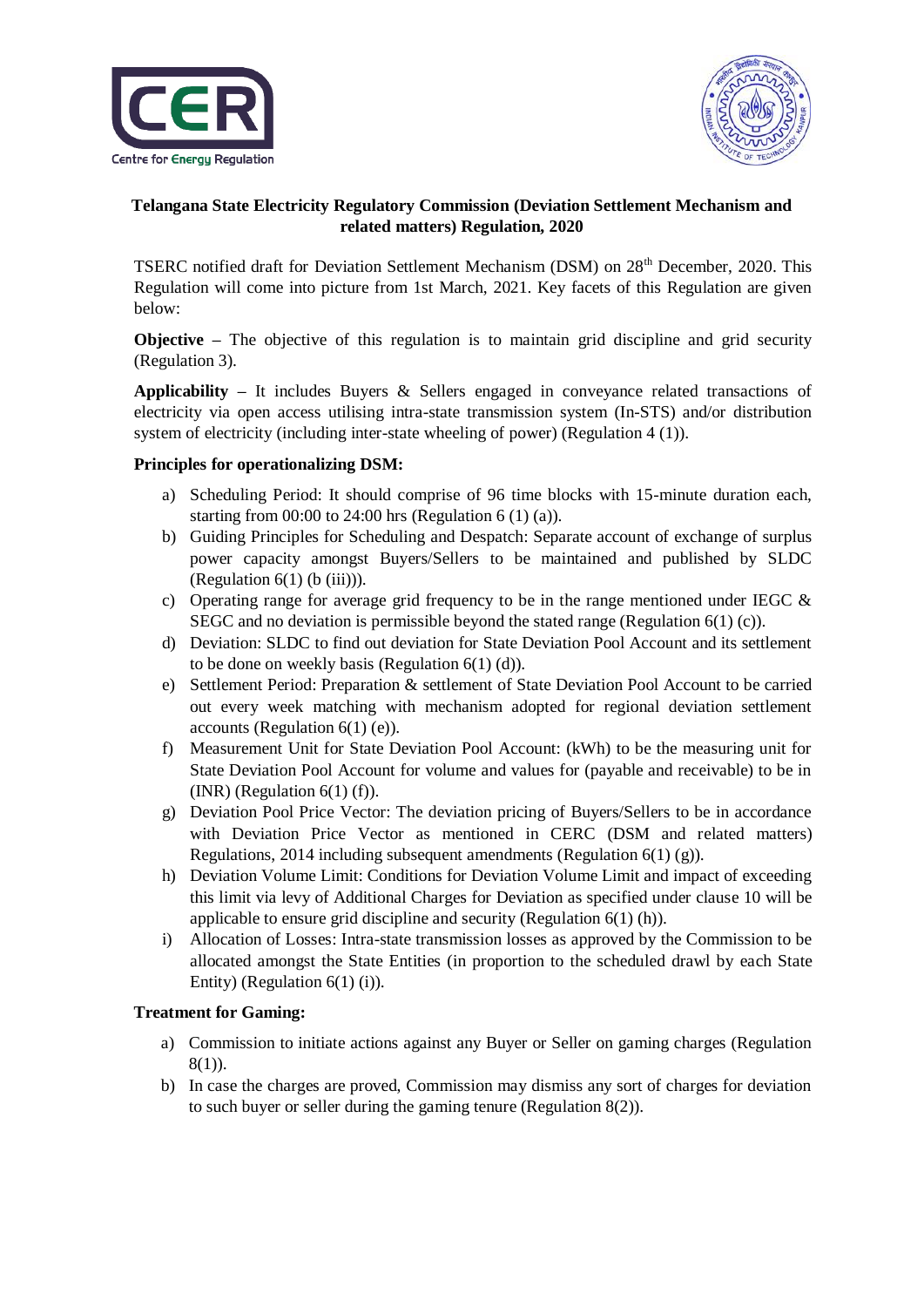



## **Telangana State Electricity Regulatory Commission (Deviation Settlement Mechanism and related matters) Regulation, 2020**

TSERC notified draft for Deviation Settlement Mechanism (DSM) on 28<sup>th</sup> December, 2020. This Regulation will come into picture from 1st March, 2021. Key facets of this Regulation are given below:

**Objective** – The objective of this regulation is to maintain grid discipline and grid security (Regulation 3).

**Applicability –** It includes Buyers & Sellers engaged in conveyance related transactions of electricity via open access utilising intra-state transmission system (In-STS) and/or distribution system of electricity (including inter-state wheeling of power) (Regulation 4 (1)).

#### **Principles for operationalizing DSM:**

- a) Scheduling Period: It should comprise of 96 time blocks with 15-minute duration each, starting from  $00:00$  to 24:00 hrs (Regulation 6 (1) (a)).
- b) Guiding Principles for Scheduling and Despatch: Separate account of exchange of surplus power capacity amongst Buyers/Sellers to be maintained and published by SLDC (Regulation  $6(1)$  (b (iii))).
- c) Operating range for average grid frequency to be in the range mentioned under IEGC  $\&$ SEGC and no deviation is permissible beyond the stated range (Regulation 6(1) (c)).
- d) Deviation: SLDC to find out deviation for State Deviation Pool Account and its settlement to be done on weekly basis (Regulation 6(1) (d)).
- e) Settlement Period: Preparation & settlement of State Deviation Pool Account to be carried out every week matching with mechanism adopted for regional deviation settlement accounts (Regulation 6(1) (e)).
- f) Measurement Unit for State Deviation Pool Account: (kWh) to be the measuring unit for State Deviation Pool Account for volume and values for (payable and receivable) to be in (INR) (Regulation  $6(1)$  (f)).
- g) Deviation Pool Price Vector: The deviation pricing of Buyers/Sellers to be in accordance with Deviation Price Vector as mentioned in CERC (DSM and related matters) Regulations, 2014 including subsequent amendments (Regulation 6(1) (g)).
- h) Deviation Volume Limit: Conditions for Deviation Volume Limit and impact of exceeding this limit via levy of Additional Charges for Deviation as specified under clause 10 will be applicable to ensure grid discipline and security (Regulation 6(1) (h)).
- i) Allocation of Losses: Intra-state transmission losses as approved by the Commission to be allocated amongst the State Entities (in proportion to the scheduled drawl by each State Entity) (Regulation  $6(1)$  (i)).

### **Treatment for Gaming:**

- a) Commission to initiate actions against any Buyer or Seller on gaming charges (Regulation 8(1)).
- b) In case the charges are proved, Commission may dismiss any sort of charges for deviation to such buyer or seller during the gaming tenure (Regulation 8(2)).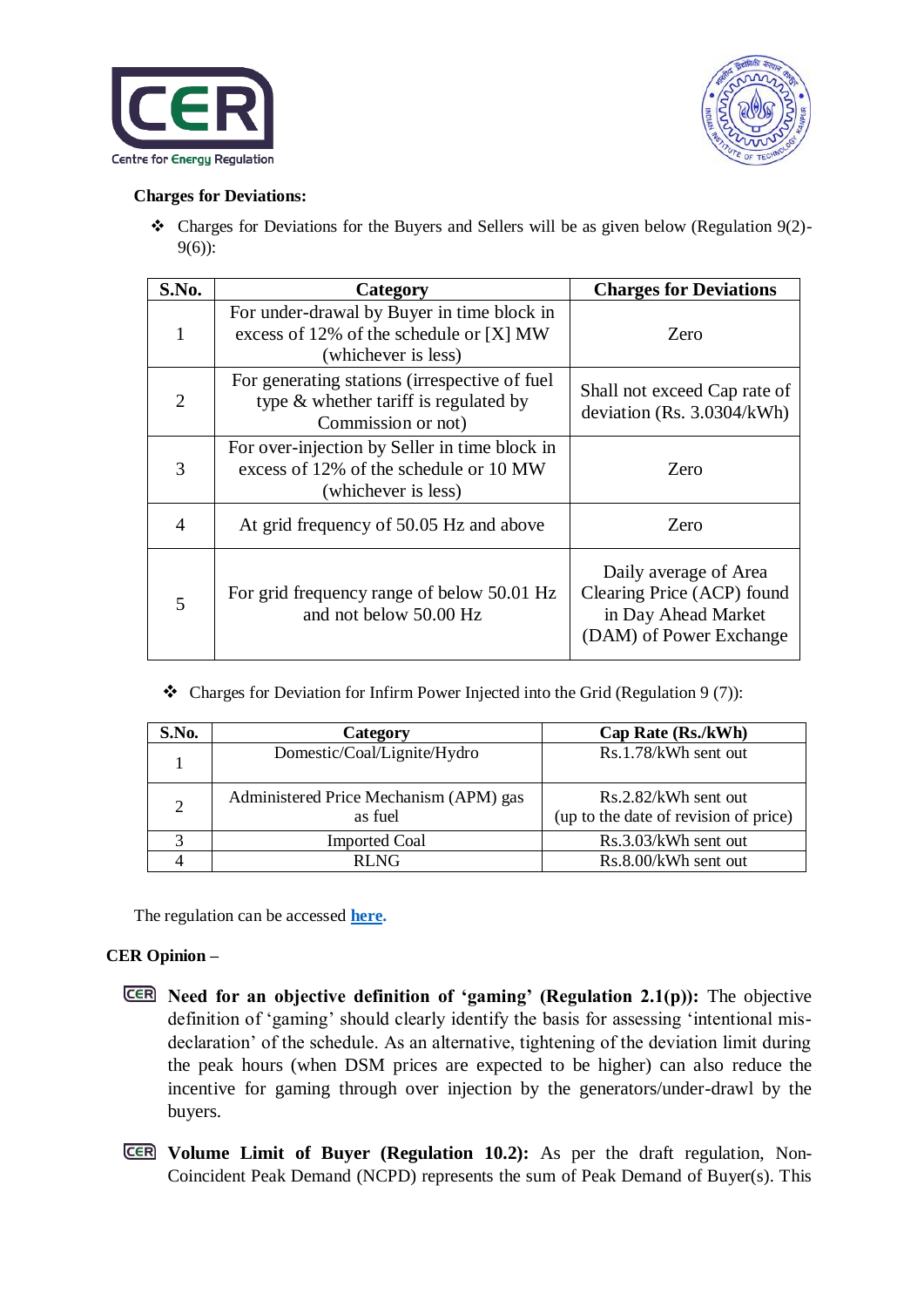



### **Charges for Deviations:**

 Charges for Deviations for the Buyers and Sellers will be as given below (Regulation 9(2)- 9(6)):

| S.No.          | Category                                                                                                       | <b>Charges for Deviations</b>                                                                         |
|----------------|----------------------------------------------------------------------------------------------------------------|-------------------------------------------------------------------------------------------------------|
| 1              | For under-drawal by Buyer in time block in<br>excess of 12% of the schedule or [X] MW<br>(whichever is less)   | Zero                                                                                                  |
| $\overline{2}$ | For generating stations (irrespective of fuel)<br>type & whether tariff is regulated by<br>Commission or not)  | Shall not exceed Cap rate of<br>deviation (Rs. $3.0304/kWh$ )                                         |
| 3              | For over-injection by Seller in time block in<br>excess of 12% of the schedule or 10 MW<br>(whichever is less) | Zero                                                                                                  |
| 4              | At grid frequency of 50.05 Hz and above                                                                        | Zero                                                                                                  |
| 5              | For grid frequency range of below 50.01 Hz<br>and not below 50.00 Hz                                           | Daily average of Area<br>Clearing Price (ACP) found<br>in Day Ahead Market<br>(DAM) of Power Exchange |

• Charges for Deviation for Infirm Power Injected into the Grid (Regulation 9 (7)):

| S.No.                       | <b>Category</b>                                   | Cap Rate (Rs./kWh)                                            |
|-----------------------------|---------------------------------------------------|---------------------------------------------------------------|
|                             | Domestic/Coal/Lignite/Hydro                       | Rs.1.78/kWh sent out                                          |
| $\mathcal{D}_{\mathcal{L}}$ | Administered Price Mechanism (APM) gas<br>as fuel | Rs.2.82/kWh sent out<br>(up to the date of revision of price) |
| 2                           | <b>Imported Coal</b>                              | Rs.3.03/kWh sent out                                          |
|                             | RLNG                                              | Rs.8.00/kWh sent out                                          |

The regulation can be accessed **[here.](https://cer.iitk.ac.in/odf_assets/upload_files/CER_IITK_TSERC_Comments_on_(Deviation_Settlement_Mechanism_%20Related_Matters)_Draft_Regulation_2020.pdf)**

## **CER Opinion –**

- **Need for an objective definition of 'gaming' (Regulation 2.1(p)):** The objective definition of 'gaming' should clearly identify the basis for assessing 'intentional misdeclaration' of the schedule. As an alternative, tightening of the deviation limit during the peak hours (when DSM prices are expected to be higher) can also reduce the incentive for gaming through over injection by the generators/under-drawl by the buyers.
- **Volume Limit of Buyer (Regulation 10.2):** As per the draft regulation, Non-Coincident Peak Demand (NCPD) represents the sum of Peak Demand of Buyer(s). This